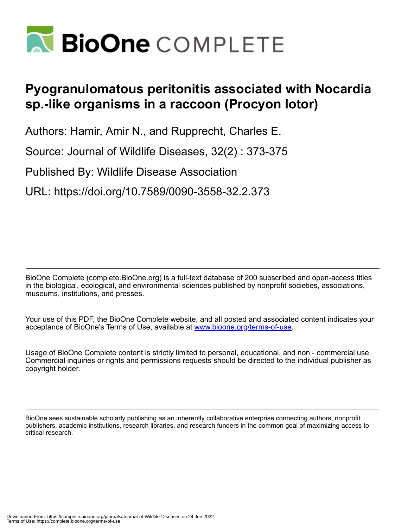

## **Pyogranulomatous peritonitis associated with Nocardia sp.-like organisms in a raccoon (Procyon lotor)**

Authors: Hamir, Amir N., and Rupprecht, Charles E.

Source: Journal of Wildlife Diseases, 32(2) : 373-375

Published By: Wildlife Disease Association

URL: https://doi.org/10.7589/0090-3558-32.2.373

BioOne Complete (complete.BioOne.org) is a full-text database of 200 subscribed and open-access titles in the biological, ecological, and environmental sciences published by nonprofit societies, associations, museums, institutions, and presses.

Your use of this PDF, the BioOne Complete website, and all posted and associated content indicates your acceptance of BioOne's Terms of Use, available at www.bioone.org/terms-of-use.

Usage of BioOne Complete content is strictly limited to personal, educational, and non - commercial use. Commercial inquiries or rights and permissions requests should be directed to the individual publisher as copyright holder.

BioOne sees sustainable scholarly publishing as an inherently collaborative enterprise connecting authors, nonprofit publishers, academic institutions, research libraries, and research funders in the common goal of maximizing access to critical research.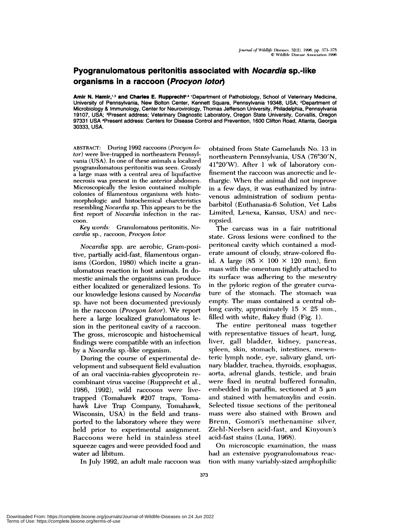## **Pyogranulomatous peritonitis associated with Nocardia sp.-Iike organisms in a raccoon (Procyon loto,)**

**Amlr N. Hamlr,'3 and Charles E. Rupprecht2'4** 'Department of Pathobiology, School of Vetennary Medicine, University of Pennsylvania, New Bolton Center, Kennett Square, Pennsylvania 19348, USA; 2Department of Microbiology & Immunology, Center for Neurovirology, Thomas Jefferson University, Philadelphia, Pennsylvania 19107, USA; 3Present address; Veterinary Diagnostic Laboratory, Oregon State University, Corvallis, Oregon 97331 USA 4Present address: Centers for Disease Control and Prevention, 1600 Clifton Road, Atlanta, Georgia 30333, USA.

ABSTRACT: During 1992 raccoons *(Procyon lotor) were* live-trapped in northeastern Pennsylvania (USA). In one of these animals a localized pyogranulomatous peritonitis was seen. Grossly a large mass with a central area of liquifactive necrosis was present in the anterior abdomen. Microscopically the lesion contained multiple colonies of filamentous organisms with histomorphologic and histochemical charctenstics resembling *Nocardia* sp. This appears to be the first report of *Nocardia* infection in the raccoon.

Key words: Granulomatous peritonitis, *Nocardia* sp., raccoon, *Procyon lotor*

*Nocardia* spp. are aerobic, Gram-positive, partially acid-fast, filamentous organisms (Gordon, 1980) which incite a granulomatous reaction in host animals. In domestic animals the organisms can produce either localized or generalized lesions. To our knowledge lesions caused by *Nocardia* sp. have not been documented previously in the raccoon *(Procyon lotor). We* report here a large localized granulomatous lesion in the peritoneal cavity of a maccoon. The gross, microscopic and histochemical findings were compatible with an infection by a *Nocardia* sp.-like organism.

During the course of experimental development and subsequent field evaluation of an oral vaccinia-mabies glycoprotein re combinant virus vaccine (Rupprecht et ai., 1986, 1992), wild raccoons were livetrapped (Tomahawk #207 traps, Toma hawk Live Trap Company, Tomahawk, Wisconsin, USA) in the field and transported to the laboratory where they were held prior to experimental assignment. Raccoons were held in stainless steel squeeze cages and were provided food and water ad libitum.

In July 1992, an adult male maccoon was

obtained from State Gamelands No. 13 in northeastern Pennsylvania, USA (76°30'N, 41°20'W). After 1 wk of laboratory confinement the raccoon was anorectic and lethargic. When the animal did not improve in a few days, it was euthanized by intra venous administration of sodium pentabarbitol (Euthanasia-6 Solution, Vet Labs Limited, Lenexa, Kansas, USA) and necropsied.

The carcass was in a fair nutritional state. Gross lesions were confined to the peritoneal cavity which contained a moderate amount of cloudy, straw-colored fluid. A large (85 x 100 *<sup>X</sup>* 120 mm), firm mass with the omentum tightly attached to its surface was adhering to the mesentry in the pyloric region of the greater curvature of the stomach. The stomach was empty. The mass contained a central oblong cavity, approximately  $15 \times 25$  mm., filled with white, flakey fluid (Fig. 1).

The entire peritoneal mass together with representative tissues of heart, lung, liver, gall bladder, kidney, pancreas, spleen, skin, stomach, intestines, teric lymph node, eye, salivary gland, urinary bladder, trachea, thyroids, esophagus, aorta, adrenal glands, testicle, and brain were fixed in neutral buffered formalin, embedded in paraffin, sectioned at 5  $\mu$ m and stained with hematoxylin and eosin. Selected tissue sections of the peritoneal mass were also stained with Brown and Brenn, Gomori's methenamine silver, Ziehl-Neelsen acid-fast, and Kinyoun's acid-fast stains (Luna, 1968).

On microscopic examination, the mass had an extensive pyogranulomatous reaction with many variably-sized amphophilic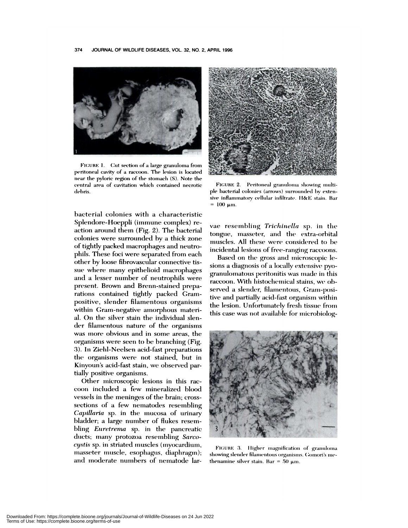

FIGURE 1. Cut section of a large granuloma from peritoneal cavity of a raccoon. The lesion is located near the pyloric region of the stomach (S). Note the central area of cavitation which contained necrotic debris.

bacterial colonies with a characteristic Splendore-Hoeppli (immune complex) reaction around them (Fig. 2). The bacterial colonies were surrounded by a thick zone of tightly packed macrophages and neutrophils. These foci were separated from each other by loose fibrovascular connective tissue where many epithelioid macrophages and a lesser number of neutrophils were present. Brown and Brenn-stained preparations contained tightly packed Grampositive, slender filamentous organisms within Gram-negative amorphous material. On the silver stain the individual slender filamentous nature of the organisms was more obvious and in some areas, the organisms were seen to be branching (Fig. 3). In Ziehl-Neelsen acid-fast preparations the organisms were not stained, but in Kinyoun's acid-fast stain, we observed partially positive organisms.

Other microscopic lesions in this raccoon included a few mineralized blood vessels in the meninges of the brain; crosssections of a few nematodes resembling Capillaria sp. in the mucosa of urinary bladder; a large number of flukes resembling *Euretrema* sp. in the pancreatic ducts; many protozoa resembling Sarcocystis sp. in striated muscles (myocardium, masseter muscle, esophagus, diaphragm); and moderate numbers of nematode lar-



FIGURE 2. Peritoneal granuloma showing multiple bacterial colonies (arrows) surrounded by extensive inflammatory cellular infiltrate. H&E stain. Bar  $= 100 \text{ µm}.$ 

vae resembling Trichinella sp. in the tongue, masseter, and the extra-orbital muscles. All these were considered to be incidental lesions of free-ranging raccoons.

Based on the gross and microscopic lesions a diagnosis of a locally extensive pyogranulomatous peritonitis was made in this raccoon. With histochemical stains, we observed a slender, filamentous, Gram-positive and partially acid-fast organism within the lesion. Unfortunately fresh tissue from this case was not available for microbiolog-



FIGURE 3. Higher magnification of granuloma showing slender filamentous organisms. Gomori's methenamine silver stain. Bar = 50  $\mu$ m.